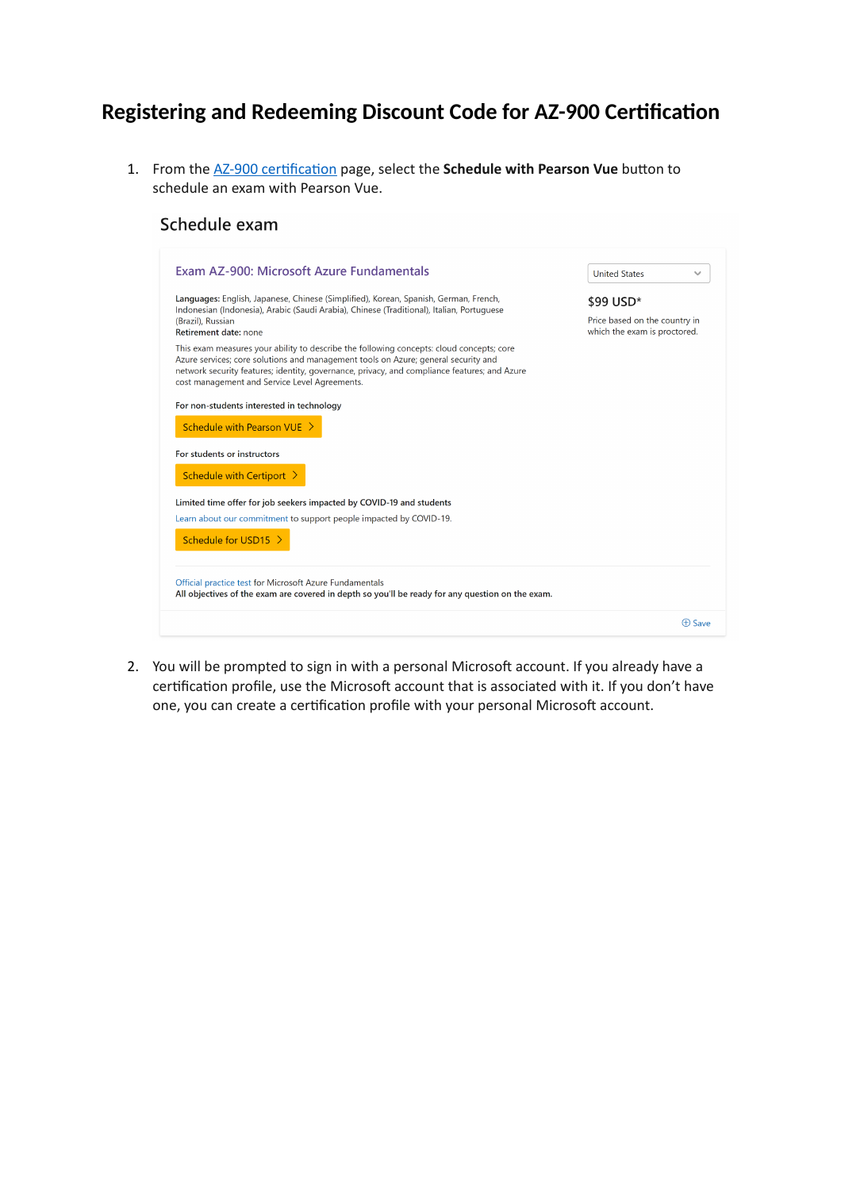## **Registering and Redeeming Discount Code for AZ-900 Certification**

1. From the [AZ-900 certification](https://docs.microsoft.com/en-us/learn/certifications/exams/az-900) page, select the **Schedule with Pearson Vue** button to schedule an exam with Pearson Vue.

## Schedule exam

| Exam AZ-900: Microsoft Azure Fundamentals                                                                                                                                                                                                                                                                                                                                                                         | <b>United States</b><br>$\checkmark$                                       |
|-------------------------------------------------------------------------------------------------------------------------------------------------------------------------------------------------------------------------------------------------------------------------------------------------------------------------------------------------------------------------------------------------------------------|----------------------------------------------------------------------------|
| Languages: English, Japanese, Chinese (Simplified), Korean, Spanish, German, French,<br>Indonesian (Indonesia), Arabic (Saudi Arabia), Chinese (Traditional), Italian, Portuguese<br>(Brazil), Russian<br>Retirement date: none<br>This exam measures your ability to describe the following concepts: cloud concepts; core<br>Azure services; core solutions and management tools on Azure; general security and | \$99 USD*<br>Price based on the country in<br>which the exam is proctored. |
| network security features; identity, governance, privacy, and compliance features; and Azure<br>cost management and Service Level Agreements.                                                                                                                                                                                                                                                                     |                                                                            |
| For non-students interested in technology                                                                                                                                                                                                                                                                                                                                                                         |                                                                            |
| Schedule with Pearson VUE >                                                                                                                                                                                                                                                                                                                                                                                       |                                                                            |
| For students or instructors                                                                                                                                                                                                                                                                                                                                                                                       |                                                                            |
| Schedule with Certiport >                                                                                                                                                                                                                                                                                                                                                                                         |                                                                            |
| Limited time offer for job seekers impacted by COVID-19 and students                                                                                                                                                                                                                                                                                                                                              |                                                                            |
| Learn about our commitment to support people impacted by COVID-19.<br>Schedule for USD15 >                                                                                                                                                                                                                                                                                                                        |                                                                            |
| Official practice test for Microsoft Azure Fundamentals<br>All objectives of the exam are covered in depth so you'll be ready for any question on the exam.                                                                                                                                                                                                                                                       |                                                                            |
|                                                                                                                                                                                                                                                                                                                                                                                                                   | <b>A</b> Save                                                              |

2. You will be prompted to sign in with a personal Microsoft account. If you already have a certification profile, use the Microsoft account that is associated with it. If you don't have one, you can create a certification profile with your personal Microsoft account.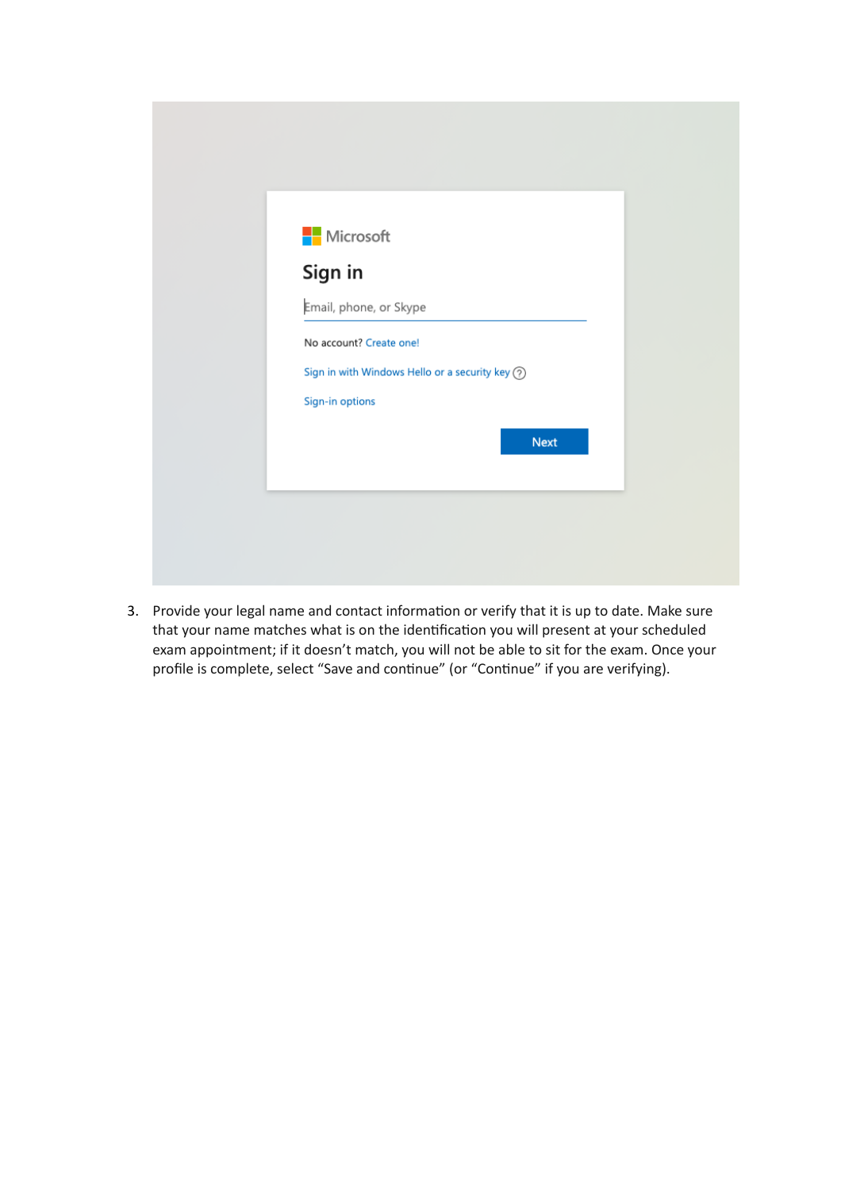| <b>Nicrosoft</b><br>Sign in |                                                |             |  |
|-----------------------------|------------------------------------------------|-------------|--|
| Email, phone, or Skype      |                                                |             |  |
| No account? Create one!     |                                                |             |  |
|                             | Sign in with Windows Hello or a security key ? |             |  |
| Sign-in options             |                                                |             |  |
|                             |                                                | <b>Next</b> |  |
|                             |                                                |             |  |

3. Provide your legal name and contact information or verify that it is up to date. Make sure that your name matches what is on the identification you will present at your scheduled exam appointment; if it doesn't match, you will not be able to sit for the exam. Once your profile is complete, select "Save and continue" (or "Continue" if you are verifying).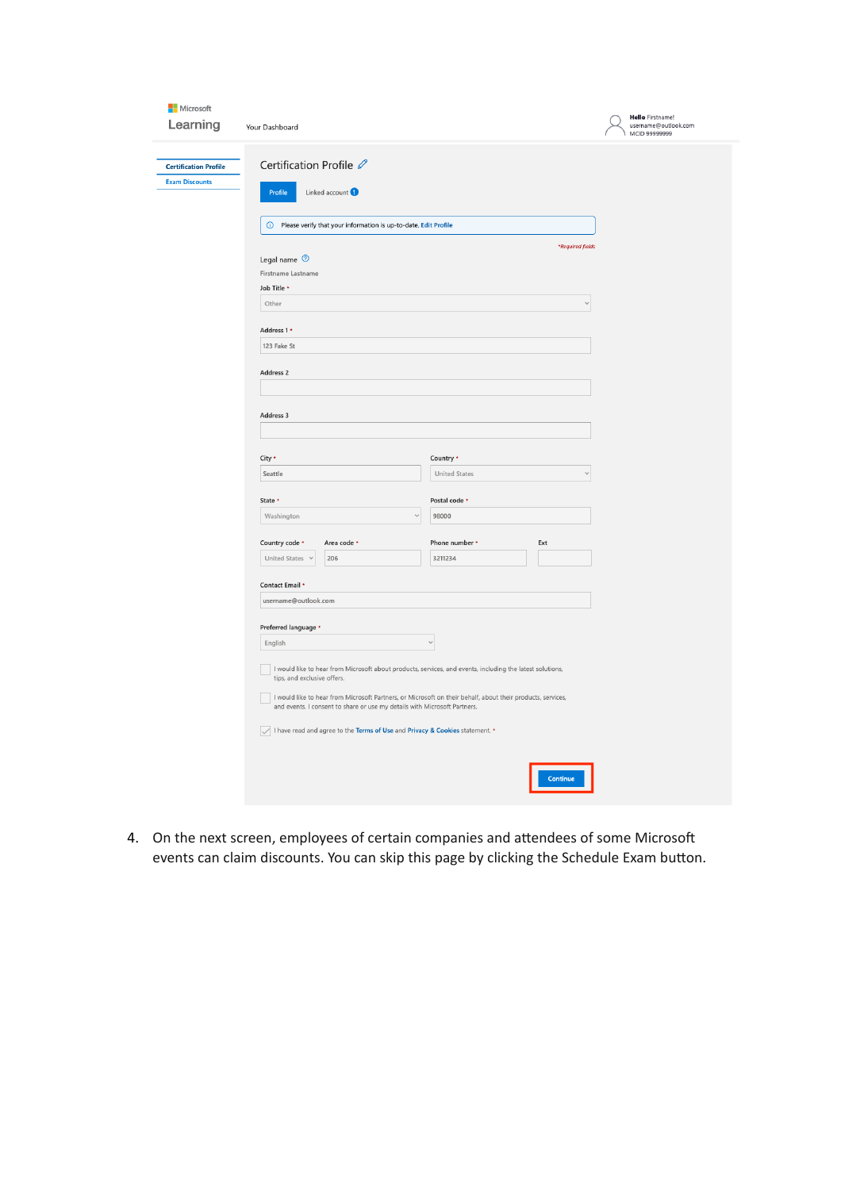| Microsoft<br>Learning                                 | Your Dashboard                                                        |                                                                                                                                                                                          |                           |          |                                  | <b>Hello</b> Firstname!<br>username@outlook.com<br>MCID 99999999 |
|-------------------------------------------------------|-----------------------------------------------------------------------|------------------------------------------------------------------------------------------------------------------------------------------------------------------------------------------|---------------------------|----------|----------------------------------|------------------------------------------------------------------|
| <b>Certification Profile</b><br><b>Exam Discounts</b> | Certification Profile 2<br>Profile                                    | Linked account                                                                                                                                                                           |                           |          |                                  |                                                                  |
|                                                       |                                                                       | (i) Please verify that your information is up-to-date. Edit Profile                                                                                                                      |                           |          |                                  |                                                                  |
|                                                       | Legal name <sup>7</sup><br>Firstname Lastname<br>Job Title *<br>Other |                                                                                                                                                                                          |                           |          | *Required fields<br>$\checkmark$ |                                                                  |
|                                                       |                                                                       |                                                                                                                                                                                          |                           |          |                                  |                                                                  |
|                                                       | Address 1 *<br>123 Fake St                                            |                                                                                                                                                                                          |                           |          |                                  |                                                                  |
|                                                       | Address 2                                                             |                                                                                                                                                                                          |                           |          |                                  |                                                                  |
|                                                       | Address 3                                                             |                                                                                                                                                                                          |                           |          |                                  |                                                                  |
|                                                       | City *                                                                |                                                                                                                                                                                          | Country *                 |          |                                  |                                                                  |
|                                                       | Seattle<br>State *                                                    |                                                                                                                                                                                          | <b>United States</b><br>U |          |                                  |                                                                  |
|                                                       |                                                                       |                                                                                                                                                                                          | Postal code *             |          |                                  |                                                                  |
|                                                       | Washington                                                            | $\checkmark$                                                                                                                                                                             | 98000                     |          |                                  |                                                                  |
|                                                       | Country code *<br>United States v                                     | Area code *<br>206                                                                                                                                                                       | Phone number *<br>3211234 | Ext      |                                  |                                                                  |
|                                                       | Contact Email *                                                       |                                                                                                                                                                                          |                           |          |                                  |                                                                  |
|                                                       | username@outlook.com                                                  |                                                                                                                                                                                          |                           |          |                                  |                                                                  |
|                                                       | Preferred language *                                                  |                                                                                                                                                                                          |                           |          |                                  |                                                                  |
|                                                       | English                                                               |                                                                                                                                                                                          | $\checkmark$              |          |                                  |                                                                  |
|                                                       | tips, and exclusive offers.                                           | I would like to hear from Microsoft about products, services, and events, including the latest solutions,                                                                                |                           |          |                                  |                                                                  |
|                                                       |                                                                       | I would like to hear from Microsoft Partners, or Microsoft on their behalf, about their products, services,<br>and events. I consent to share or use my details with Microsoft Partners. |                           |          |                                  |                                                                  |
|                                                       |                                                                       | I have read and agree to the Terms of Use and Privacy & Cookies statement. *                                                                                                             |                           |          |                                  |                                                                  |
|                                                       |                                                                       |                                                                                                                                                                                          |                           | Continue |                                  |                                                                  |

4. On the next screen, employees of certain companies and attendees of some Microsoft events can claim discounts. You can skip this page by clicking the Schedule Exam button.